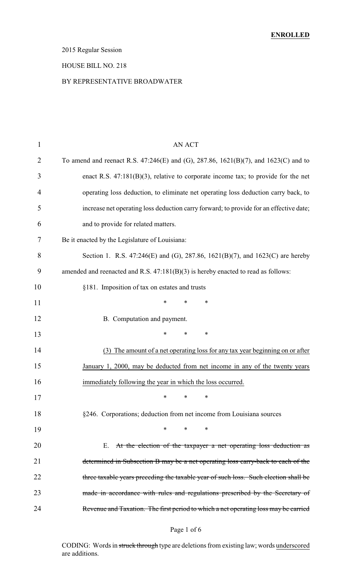## 2015 Regular Session

### HOUSE BILL NO. 218

### BY REPRESENTATIVE BROADWATER

| $\mathbf{1}$ | <b>AN ACT</b>                                                                          |
|--------------|----------------------------------------------------------------------------------------|
| 2            | To amend and reenact R.S. 47:246(E) and (G), 287.86, 1621(B)(7), and 1623(C) and to    |
| 3            | enact R.S. $47:181(B)(3)$ , relative to corporate income tax; to provide for the net   |
| 4            | operating loss deduction, to eliminate net operating loss deduction carry back, to     |
| 5            | increase net operating loss deduction carry forward; to provide for an effective date; |
| 6            | and to provide for related matters.                                                    |
| 7            | Be it enacted by the Legislature of Louisiana:                                         |
| 8            | Section 1. R.S. 47:246(E) and (G), 287.86, 1621(B)(7), and 1623(C) are hereby          |
| 9            | amended and reenacted and R.S. $47:181(B)(3)$ is hereby enacted to read as follows:    |
| 10           | §181. Imposition of tax on estates and trusts                                          |
| 11           | *<br>∗<br>∗                                                                            |
| 12           | B. Computation and payment.                                                            |
| 13           | *<br>$\ast$<br>∗                                                                       |
| 14           | (3) The amount of a net operating loss for any tax year beginning on or after          |
| 15           | January 1, 2000, may be deducted from net income in any of the twenty years            |
| 16           | immediately following the year in which the loss occurred.                             |
| 17           | ∗<br>∗<br>∗                                                                            |
| 18           | §246. Corporations; deduction from net income from Louisiana sources                   |
| 19           | $\ast$<br>∗<br>∗                                                                       |
| 20           | At the election of the taxpayer a net operating loss deduction as<br>Е.                |
| 21           | determined in Subsection B may be a net operating loss carry-back to each of the       |
| 22           | three taxable years preceding the taxable year of such loss. Such election shall be    |
| 23           | made in accordance with rules and regulations prescribed by the Secretary of           |
| 24           | Revenue and Taxation. The first period to which a net operating loss may be carried    |
|              |                                                                                        |

## Page 1 of 6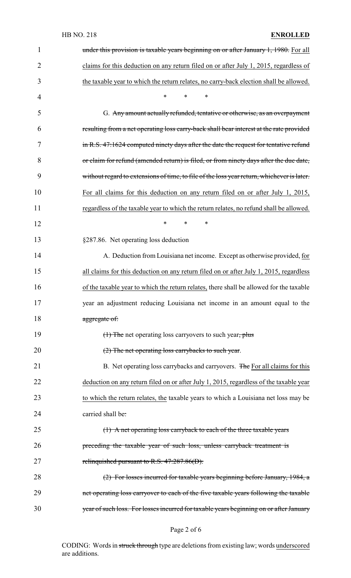## HB NO. 218 **ENROLLED**

| $\mathbf{1}$   | under this provision is taxable years beginning on or after January 1, 1980. For all       |
|----------------|--------------------------------------------------------------------------------------------|
| $\overline{2}$ | claims for this deduction on any return filed on or after July 1, 2015, regardless of      |
| 3              | the taxable year to which the return relates, no carry-back election shall be allowed.     |
| 4              | $\ast$<br>*<br>$\ast$                                                                      |
| 5              | G. Any amount actually refunded, tentative or otherwise, as an overpayment                 |
| 6              | resulting from a net operating loss carry-back shall bear interest at the rate provided    |
| 7              | in R.S. 47:1624 computed ninety days after the date the request for tentative refund       |
| 8              | or claim for refund (amended return) is filed, or from ninety days after the due date,     |
| 9              | without regard to extensions of time, to file of the loss year return, whichever is later. |
| 10             | For all claims for this deduction on any return filed on or after July 1, 2015,            |
| 11             | regardless of the taxable year to which the return relates, no refund shall be allowed.    |
| 12             | $\ast$<br>$\ast$<br>∗                                                                      |
| 13             | §287.86. Net operating loss deduction                                                      |
| 14             | A. Deduction from Louisiana net income. Except as otherwise provided, for                  |
| 15             | all claims for this deduction on any return filed on or after July 1, 2015, regardless     |
| 16             | of the taxable year to which the return relates, there shall be allowed for the taxable    |
| 17             | year an adjustment reducing Louisiana net income in an amount equal to the                 |
| 18             | aggregate of:                                                                              |
| 19             | (1) The net operating loss carryovers to such year, plus                                   |
| 20             | (2) The net operating loss carrybacks to such year.                                        |
| 21             | B. Net operating loss carrybacks and carryovers. The For all claims for this               |
| 22             | deduction on any return filed on or after July 1, 2015, regardless of the taxable year     |
| 23             | to which the return relates, the taxable years to which a Louisiana net loss may be        |
| 24             | carried shall be:                                                                          |
| 25             | (1) A net operating loss carryback to each of the three taxable years                      |
| 26             | preceding the taxable year of such loss, unless carryback treatment is                     |
| 27             | relinquished pursuant to R.S. 47:287.86(D).                                                |
| 28             | (2) For losses incurred for taxable years beginning before January, 1984, a                |
| 29             | net operating loss carryover to each of the five taxable years following the taxable       |
| 30             | year of such loss. For losses incurred for taxable years beginning on or after January     |

Page 2 of 6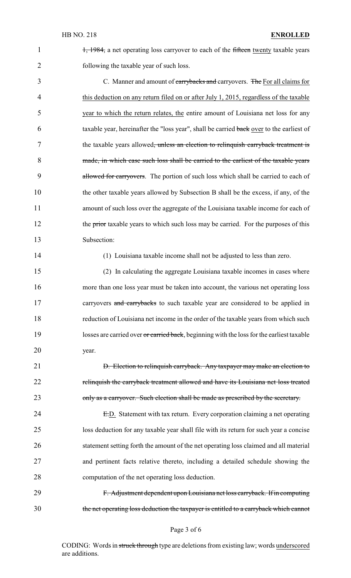1, 1984, a net operating loss carryover to each of the fifteen twenty taxable years 2 following the taxable year of such loss.

3 C. Manner and amount of carrybacks and carryovers. The For all claims for 4 this deduction on any return filed on or after July 1, 2015, regardless of the taxable 5 year to which the return relates, the entire amount of Louisiana net loss for any 6 taxable year, hereinafter the "loss year", shall be carried back over to the earliest of 7 the taxable years allowed<del>, unless an election to relinquish carryback treatment is</del> 8 made, in which case such loss shall be carried to the earliest of the taxable years 9 allowed for carryovers. The portion of such loss which shall be carried to each of 10 the other taxable years allowed by Subsection B shall be the excess, if any, of the 11 amount of such loss over the aggregate of the Louisiana taxable income for each of 12 the prior taxable years to which such loss may be carried. For the purposes of this 13 Subsection:

14 (1) Louisiana taxable income shall not be adjusted to less than zero.

15 (2) In calculating the aggregate Louisiana taxable incomes in cases where 16 more than one loss year must be taken into account, the various net operating loss 17 carryovers and carrybacks to such taxable year are considered to be applied in 18 reduction of Louisiana net income in the order of the taxable years from which such 19 losses are carried over or carried back, beginning with the loss for the earliest taxable 20 year.

21 **D.** Election to relinquish carryback. Any taxpayer may make an election to 22 relinquish the carryback treatment allowed and have its Louisiana net loss treated 23 only as a carryover. Such election shall be made as prescribed by the secretary.

24 E.D. Statement with tax return. Every corporation claiming a net operating loss deduction for any taxable year shall file with its return for such year a concise statement setting forth the amount of the net operating loss claimed and all material and pertinent facts relative thereto, including a detailed schedule showing the computation of the net operating loss deduction.

29 F. Adjustment dependent upon Louisiana net loss carryback. If in computing 30 the net operating loss deduction the taxpayer is entitled to a carryback which cannot

#### Page 3 of 6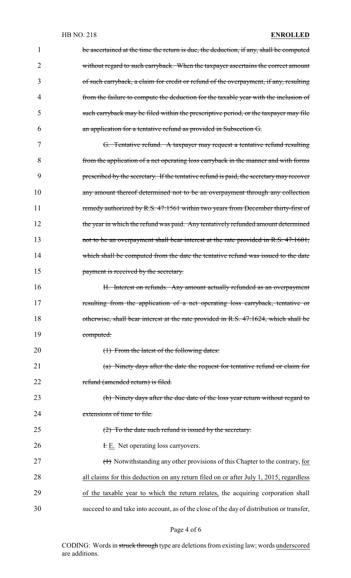| 1  | be ascertained at the time the return is due, the deduction, if any, shall be computed    |
|----|-------------------------------------------------------------------------------------------|
| 2  | without regard to such carryback. When the taxpayer ascertains the correct amount         |
| 3  | of such carryback, a claim for credit or refund of the overpayment, if any, resulting     |
| 4  | from the failure to compute the deduction for the taxable year with the inclusion of      |
| 5  | such carryback may be filed within the prescriptive period, or the taxpayer may file      |
| 6  | an application for a tentative refund as provided in Subsection G.                        |
| 7  | G. Tentative refund. A taxpayer may request a tentative refund resulting                  |
| 8  | from the application of a net operating loss carryback in the manner and with forms       |
| 9  | prescribed by the secretary. If the tentative refund is paid, the secretary may recover   |
| 10 | any amount thereof determined not to be an overpayment through any collection             |
| 11 | remedy authorized by R.S. 47:1561 within two years from December thirty-first of          |
| 12 | the year in which the refund was paid. Any tentatively refunded amount determined         |
| 13 | not to be an overpayment shall bear interest at the rate provided in R.S. 47:1601,        |
| 14 | which shall be computed from the date the tentative refund was issued to the date         |
| 15 | payment is received by the secretary.                                                     |
| 16 | H. Interest on refunds. Any amount actually refunded as an overpayment                    |
| 17 | resulting from the application of a net operating loss carryback, tentative or            |
| 18 | otherwise, shall bear interest at the rate provided in R.S. 47:1624, which shall be       |
| 19 | computed:                                                                                 |
| 20 | (1) From the latest of the following dates:                                               |
| 21 | (a) Ninety days after the date the request for tentative refund or claim for              |
| 22 | refund (amended return) is filed.                                                         |
| 23 | (b) Ninety days after the due date of the loss year return without regard to              |
| 24 | extensions of time to file.                                                               |
| 25 | $(2)$ To the date such refund is issued by the secretary.                                 |
| 26 | <b>F.</b> E. Net operating loss carryovers.                                               |
| 27 | (1) Notwithstanding any other provisions of this Chapter to the contrary, for             |
| 28 | all claims for this deduction on any return filed on or after July 1, 2015, regardless    |
| 29 | of the taxable year to which the return relates, the acquiring corporation shall          |
| 30 | succeed to and take into account, as of the close of the day of distribution or transfer, |

# Page 4 of 6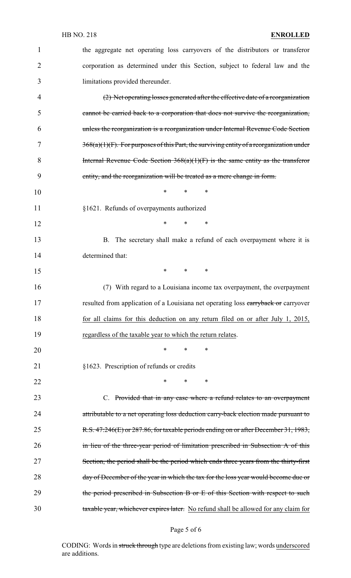| $\mathbf{1}$   | the aggregate net operating loss carryovers of the distributors or transferor              |
|----------------|--------------------------------------------------------------------------------------------|
| $\overline{2}$ | corporation as determined under this Section, subject to federal law and the               |
| 3              | limitations provided thereunder.                                                           |
| 4              | (2) Net operating losses generated after the effective date of a reorganization            |
| 5              | cannot be carried back to a corporation that does not survive the reorganization,          |
| 6              | unless the reorganization is a reorganization under Internal Revenue Code Section          |
| 7              | $368(a)(1)(F)$ . For purposes of this Part, the surviving entity of a reorganization under |
| 8              | Internal Revenue Code Section $368(a)(1)(F)$ is the same entity as the transferor          |
| 9              | entity, and the reorganization will be treated as a mere change in form.                   |
| 10             | $\ast$<br>$\ast$<br>∗                                                                      |
| 11             | §1621. Refunds of overpayments authorized                                                  |
| 12             | $\ast$<br>$\ast$<br>∗                                                                      |
| 13             | B. The secretary shall make a refund of each overpayment where it is                       |
| 14             | determined that:                                                                           |
| 15             | $*$ $*$<br>$\ast$<br>∗                                                                     |
| 16             | (7) With regard to a Louisiana income tax overpayment, the overpayment                     |
| 17             | resulted from application of a Louisiana net operating loss carryback or carryover         |
| 18             | for all claims for this deduction on any return filed on or after July 1, 2015,            |
| 19             | regardless of the taxable year to which the return relates.                                |
| 20             | *<br>∗<br>∗                                                                                |
| 21             | §1623. Prescription of refunds or credits                                                  |
| 22             | $\ast$<br>$\ast$<br>∗                                                                      |
| 23             | C. Provided that in any case where a refund relates to an overpayment                      |
| 24             | attributable to a net operating loss deduction carry-back election made pursuant to        |
| 25             | R.S. 47:246(E) or 287.86, for taxable periods ending on or after December 31, 1983,        |
| 26             | in lieu of the three-year period of limitation prescribed in Subsection A of this          |
| 27             | Section, the period shall be the period which ends three years from the thirty-first       |
| 28             | day of December of the year in which the tax for the loss year would become due or         |
| 29             | the period prescribed in Subsection B or E of this Section with respect to such            |
| 30             | taxable year, whichever expires later. No refund shall be allowed for any claim for        |

Page 5 of 6